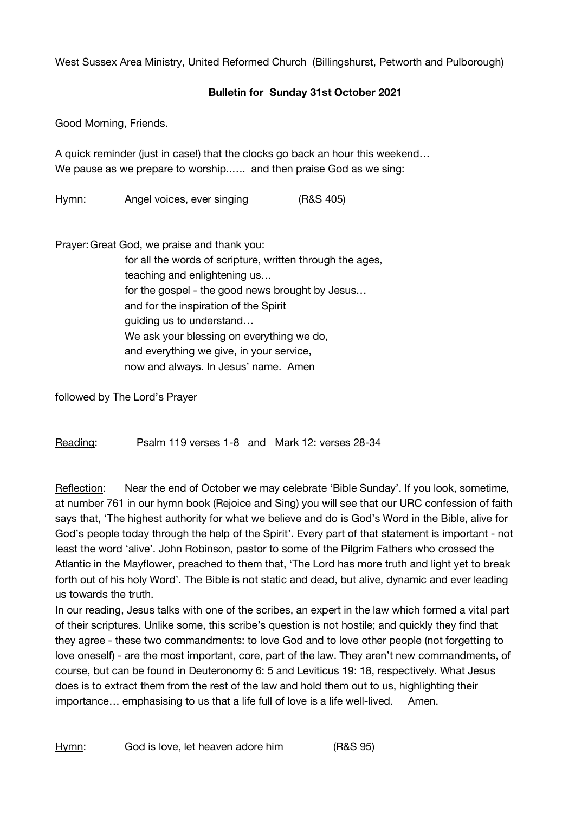West Sussex Area Ministry, United Reformed Church (Billingshurst, Petworth and Pulborough)

## **Bulletin for Sunday 31st October 2021**

Good Morning, Friends.

A quick reminder (just in case!) that the clocks go back an hour this weekend… We pause as we prepare to worship..…. and then praise God as we sing:

Hymn: Angel voices, ever singing (R&S 405)

Prayer:Great God, we praise and thank you:

for all the words of scripture, written through the ages, teaching and enlightening us… for the gospel - the good news brought by Jesus… and for the inspiration of the Spirit guiding us to understand… We ask your blessing on everything we do. and everything we give, in your service, now and always. In Jesus' name. Amen

followed by The Lord's Prayer

Reading: Psalm 119 verses 1-8 and Mark 12: verses 28-34

Reflection: Near the end of October we may celebrate 'Bible Sunday'. If you look, sometime, at number 761 in our hymn book (Rejoice and Sing) you will see that our URC confession of faith says that, 'The highest authority for what we believe and do is God's Word in the Bible, alive for God's people today through the help of the Spirit'. Every part of that statement is important - not least the word 'alive'. John Robinson, pastor to some of the Pilgrim Fathers who crossed the Atlantic in the Mayflower, preached to them that, 'The Lord has more truth and light yet to break forth out of his holy Word'. The Bible is not static and dead, but alive, dynamic and ever leading us towards the truth.

In our reading, Jesus talks with one of the scribes, an expert in the law which formed a vital part of their scriptures. Unlike some, this scribe's question is not hostile; and quickly they find that they agree - these two commandments: to love God and to love other people (not forgetting to love oneself) - are the most important, core, part of the law. They aren't new commandments, of course, but can be found in Deuteronomy 6: 5 and Leviticus 19: 18, respectively. What Jesus does is to extract them from the rest of the law and hold them out to us, highlighting their importance... emphasising to us that a life full of love is a life well-lived. Amen.